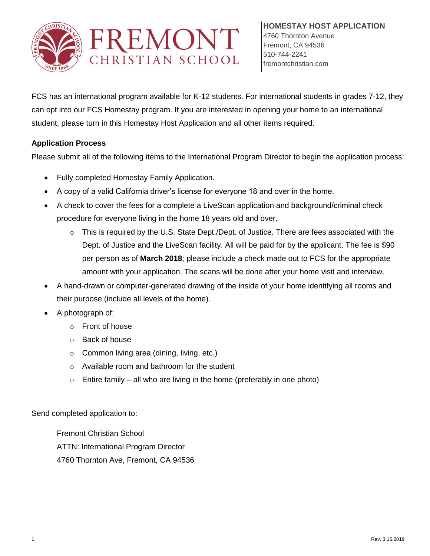

FCS has an international program available for K-12 students. For international students in grades 7-12, they can opt into our FCS Homestay program. If you are interested in opening your home to an international student, please turn in this Homestay Host Application and all other items required.

# **Application Process**

Please submit all of the following items to the International Program Director to begin the application process:

- Fully completed Homestay Family Application.
- A copy of a valid California driver's license for everyone 18 and over in the home.
- A check to cover the fees for a complete a LiveScan application and background/criminal check procedure for everyone living in the home 18 years old and over.
	- $\circ$  This is required by the U.S. State Dept./Dept. of Justice. There are fees associated with the Dept. of Justice and the LiveScan facility. All will be paid for by the applicant. The fee is \$90 per person as of **March 2018**; please include a check made out to FCS for the appropriate amount with your application. The scans will be done after your home visit and interview.
- A hand-drawn or computer-generated drawing of the inside of your home identifying all rooms and their purpose (include all levels of the home).
- A photograph of:
	- o Front of house
	- o Back of house
	- o Common living area (dining, living, etc.)
	- o Available room and bathroom for the student
	- $\circ$  Entire family all who are living in the home (preferably in one photo)

Send completed application to:

Fremont Christian School ATTN: International Program Director 4760 Thornton Ave, Fremont, CA 94536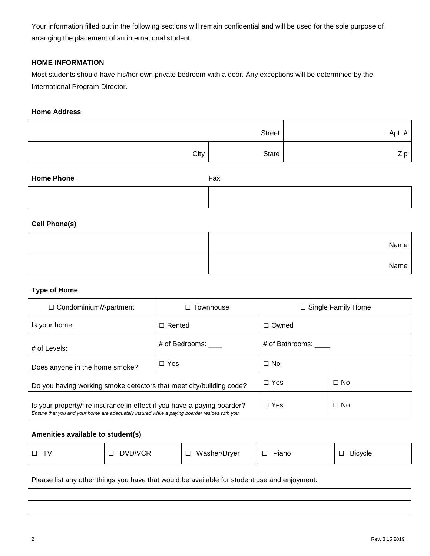Your information filled out in the following sections will remain confidential and will be used for the sole purpose of arranging the placement of an international student.

## **HOME INFORMATION**

Most students should have his/her own private bedroom with a door. Any exceptions will be determined by the International Program Director.

## **Home Address**

| Street |       | Apt. $#$ |
|--------|-------|----------|
| City   | State | Zip      |

| <b>Home Phone</b> | Fax |
|-------------------|-----|
|                   |     |

### **Cell Phone(s)**

| Name |  |
|------|--|
| Name |  |

#### **Type of Home**

| $\Box$ Condominium/Apartment                                                                                                                                             | Townhouse     | $\Box$ Single Family Home |           |
|--------------------------------------------------------------------------------------------------------------------------------------------------------------------------|---------------|---------------------------|-----------|
| Is your home:                                                                                                                                                            | $\Box$ Rented | $\Box$ Owned              |           |
| # of Bedrooms:<br># of Levels:                                                                                                                                           |               | # of Bathrooms: ____      |           |
| $\Box$ Yes<br>Does anyone in the home smoke?                                                                                                                             |               | $\Box$ No                 |           |
| Do you having working smoke detectors that meet city/building code?                                                                                                      |               | $\Box$ Yes                | $\Box$ No |
| Is your property/fire insurance in effect if you have a paying boarder?<br>Ensure that you and your home are adequately insured while a paying boarder resides with you. | $\Box$ Yes    | $\Box$ No                 |           |

#### **Amenities available to student(s)**

|  | DVD/VCR | Washer/Dryer<br>_ | Piano<br>$\overline{\phantom{0}}$<br>ب | - -<br><b>Bicycle</b><br>─ |
|--|---------|-------------------|----------------------------------------|----------------------------|
|--|---------|-------------------|----------------------------------------|----------------------------|

Please list any other things you have that would be available for student use and enjoyment.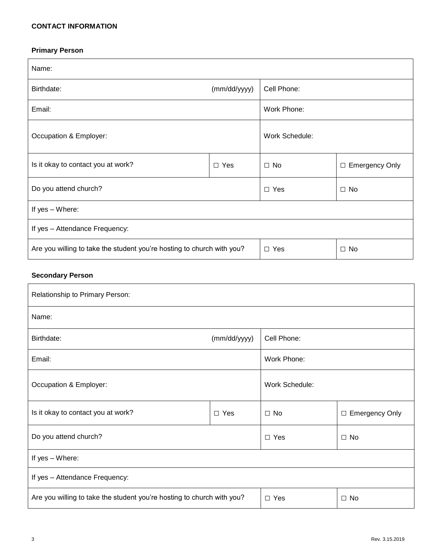## **CONTACT INFORMATION**

# **Primary Person**

| Name:                                                                  |            |                |                  |
|------------------------------------------------------------------------|------------|----------------|------------------|
| Birthdate:<br>(mm/dd/yyyy)                                             |            | Cell Phone:    |                  |
| Email:                                                                 |            | Work Phone:    |                  |
| Occupation & Employer:                                                 |            | Work Schedule: |                  |
| Is it okay to contact you at work?                                     | $\Box$ Yes | $\Box$ No      | □ Emergency Only |
| Do you attend church?                                                  |            | $\Box$ Yes     | $\Box$ No        |
| If yes - Where:                                                        |            |                |                  |
| If yes - Attendance Frequency:                                         |            |                |                  |
| Are you willing to take the student you're hosting to church with you? |            | $\Box$ Yes     | $\Box$ No        |

# **Secondary Person**

| Relationship to Primary Person:                                                      |              |                       |                  |
|--------------------------------------------------------------------------------------|--------------|-----------------------|------------------|
| Name:                                                                                |              |                       |                  |
| Birthdate:                                                                           | (mm/dd/yyyy) | Cell Phone:           |                  |
| Email:                                                                               |              | Work Phone:           |                  |
| Occupation & Employer:                                                               |              | <b>Work Schedule:</b> |                  |
| Is it okay to contact you at work?<br>$\Box$ Yes                                     |              | $\Box$ No             | □ Emergency Only |
| Do you attend church?                                                                |              | $\Box$ Yes            | $\Box$ No        |
| If yes - Where:                                                                      |              |                       |                  |
| If yes - Attendance Frequency:                                                       |              |                       |                  |
| Are you willing to take the student you're hosting to church with you?<br>$\Box$ Yes |              |                       | $\Box$ No        |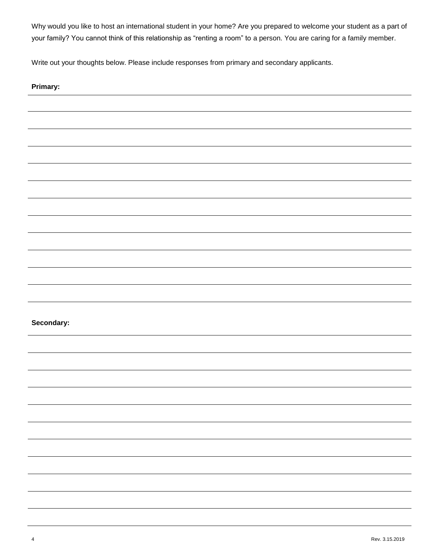Why would you like to host an international student in your home? Are you prepared to welcome your student as a part of your family? You cannot think of this relationship as "renting a room" to a person. You are caring for a family member.

Write out your thoughts below. Please include responses from primary and secondary applicants.

| Primary:                                                                                                            |
|---------------------------------------------------------------------------------------------------------------------|
|                                                                                                                     |
|                                                                                                                     |
|                                                                                                                     |
|                                                                                                                     |
|                                                                                                                     |
|                                                                                                                     |
|                                                                                                                     |
|                                                                                                                     |
|                                                                                                                     |
|                                                                                                                     |
|                                                                                                                     |
|                                                                                                                     |
| Secondary:                                                                                                          |
|                                                                                                                     |
|                                                                                                                     |
|                                                                                                                     |
|                                                                                                                     |
|                                                                                                                     |
|                                                                                                                     |
|                                                                                                                     |
| <u> 1989 - Andrea Andrea Andrea Andrea Andrea Andrea Andrea Andrea Andrea Andrea Andrea Andrea Andrea Andrea An</u> |
| ٠                                                                                                                   |
|                                                                                                                     |
|                                                                                                                     |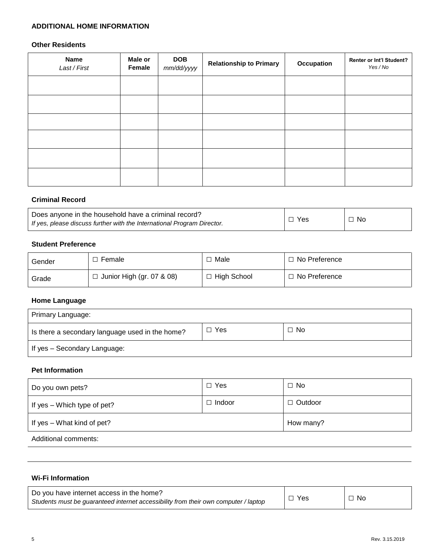### **ADDITIONAL HOME INFORMATION**

## **Other Residents**

| <b>Name</b><br>Last / First | Male or<br>Female | <b>DOB</b><br>mm/dd/yyyy | <b>Relationship to Primary</b> | Occupation | <b>Renter or Int'l Student?</b><br>Yes / No |
|-----------------------------|-------------------|--------------------------|--------------------------------|------------|---------------------------------------------|
|                             |                   |                          |                                |            |                                             |
|                             |                   |                          |                                |            |                                             |
|                             |                   |                          |                                |            |                                             |
|                             |                   |                          |                                |            |                                             |
|                             |                   |                          |                                |            |                                             |
|                             |                   |                          |                                |            |                                             |

### **Criminal Record**

| Does anyone in the household have a criminal record?<br>If yes, please discuss further with the International Program Director. | Yes | $\neg$ No |
|---------------------------------------------------------------------------------------------------------------------------------|-----|-----------|
|                                                                                                                                 |     |           |

# **Student Preference**

| Gender | Female                           | Male          | □ No Preference |
|--------|----------------------------------|---------------|-----------------|
| Grade  | $\Box$ Junior High (gr. 07 & 08) | া High School | □ No Preference |

# **Home Language**

| Primary Language:                               |     |           |  |  |
|-------------------------------------------------|-----|-----------|--|--|
| Is there a secondary language used in the home? | Yes | $\Box$ No |  |  |
| If yes – Secondary Language:                    |     |           |  |  |

## **Pet Information**

| Do you own pets?              | $\Box$ Yes    | $\Box$ No      |
|-------------------------------|---------------|----------------|
| If yes $-$ Which type of pet? | $\Box$ Indoor | $\Box$ Outdoor |
| If yes - What kind of pet?    |               | How many?      |
| Additional comments:          |               |                |

## **Wi-Fi Information**

| Do you have internet access in the home?                                            |            |           |
|-------------------------------------------------------------------------------------|------------|-----------|
| Students must be guaranteed internet accessibility from their own computer / laptop | <b>Yes</b> | $\Box$ No |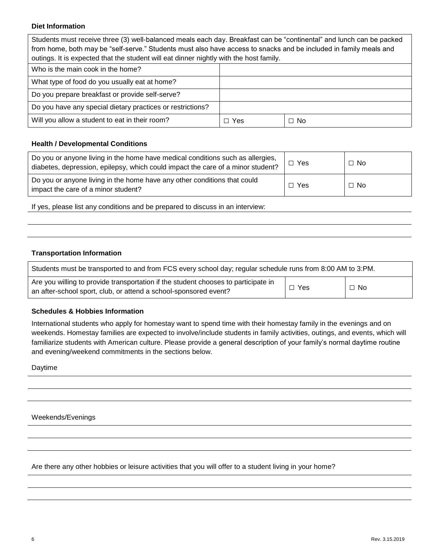### **Diet Information**

Students must receive three (3) well-balanced meals each day. Breakfast can be "continental" and lunch can be packed from home, both may be "self-serve." Students must also have access to snacks and be included in family meals and outings. It is expected that the student will eat dinner nightly with the host family.

| Who is the main cook in the home?                          |     |           |
|------------------------------------------------------------|-----|-----------|
| What type of food do you usually eat at home?              |     |           |
| Do you prepare breakfast or provide self-serve?            |     |           |
| Do you have any special dietary practices or restrictions? |     |           |
| Will you allow a student to eat in their room?             | Yes | $\Box$ No |

## **Health / Developmental Conditions**

| Do you or anyone living in the home have medical conditions such as allergies,<br>diabetes, depression, epilepsy, which could impact the care of a minor student? | $\Box$ Yes | $\Box$ No |
|-------------------------------------------------------------------------------------------------------------------------------------------------------------------|------------|-----------|
| Do you or anyone living in the home have any other conditions that could<br>impact the care of a minor student?                                                   | Yes        | $\Box$ No |

If yes, please list any conditions and be prepared to discuss in an interview:

#### **Transportation Information**

| Students must be transported to and from FCS every school day; regular schedule runs from 8:00 AM to 3:PM.                                             |            |              |  |
|--------------------------------------------------------------------------------------------------------------------------------------------------------|------------|--------------|--|
| Are you willing to provide transportation if the student chooses to participate in<br>an after-school sport, club, or attend a school-sponsored event? | $\Box$ Yes | $\square$ No |  |

#### **Schedules & Hobbies Information**

International students who apply for homestay want to spend time with their homestay family in the evenings and on weekends. Homestay families are expected to involve/include students in family activities, outings, and events, which will familiarize students with American culture. Please provide a general description of your family's normal daytime routine and evening/weekend commitments in the sections below.

Daytime

Weekends/Evenings

Are there any other hobbies or leisure activities that you will offer to a student living in your home?